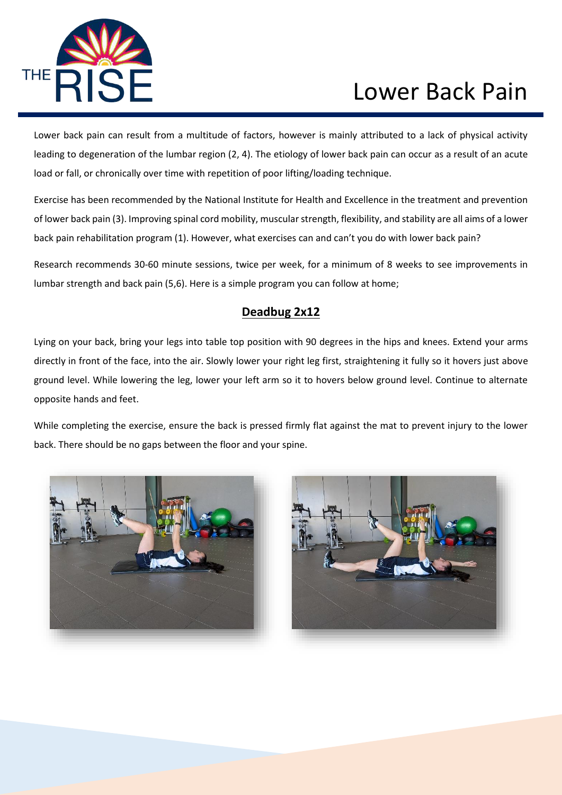

Lower back pain can result from a multitude of factors, however is mainly attributed to a lack of physical activity leading to degeneration of the lumbar region (2, 4). The etiology of lower back pain can occur as a result of an acute load or fall, or chronically over time with repetition of poor lifting/loading technique.

Exercise has been recommended by the National Institute for Health and Excellence in the treatment and prevention of lower back pain (3). Improving spinal cord mobility, muscular strength, flexibility, and stability are all aims of a lower back pain rehabilitation program (1). However, what exercises can and can't you do with lower back pain?

Research recommends 30-60 minute sessions, twice per week, for a minimum of 8 weeks to see improvements in lumbar strength and back pain (5,6). Here is a simple program you can follow at home;

### **Deadbug 2x12**

Lying on your back, bring your legs into table top position with 90 degrees in the hips and knees. Extend your arms directly in front of the face, into the air. Slowly lower your right leg first, straightening it fully so it hovers just above ground level. While lowering the leg, lower your left arm so it to hovers below ground level. Continue to alternate opposite hands and feet.

While completing the exercise, ensure the back is pressed firmly flat against the mat to prevent injury to the lower back. There should be no gaps between the floor and your spine.



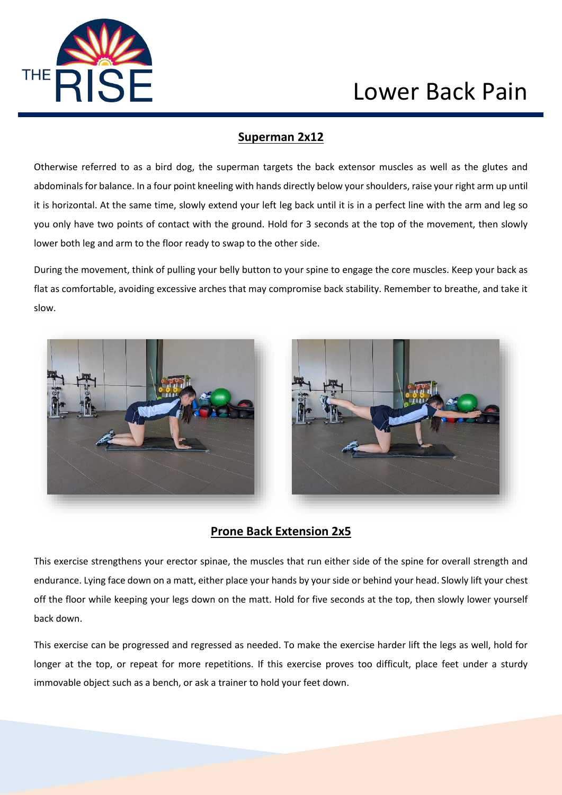

#### **Superman 2x12**

Otherwise referred to as a bird dog, the superman targets the back extensor muscles as well as the glutes and abdominals for balance. In a four point kneeling with hands directly below your shoulders, raise your right arm up until it is horizontal. At the same time, slowly extend your left leg back until it is in a perfect line with the arm and leg so you only have two points of contact with the ground. Hold for 3 seconds at the top of the movement, then slowly lower both leg and arm to the floor ready to swap to the other side.

During the movement, think of pulling your belly button to your spine to engage the core muscles. Keep your back as flat as comfortable, avoiding excessive arches that may compromise back stability. Remember to breathe, and take it slow.



### **Prone Back Extension 2x5**

This exercise strengthens your erector spinae, the muscles that run either side of the spine for overall strength and endurance. Lying face down on a matt, either place your hands by your side or behind your head. Slowly lift your chest off the floor while keeping your legs down on the matt. Hold for five seconds at the top, then slowly lower yourself back down.

This exercise can be progressed and regressed as needed. To make the exercise harder lift the legs as well, hold for longer at the top, or repeat for more repetitions. If this exercise proves too difficult, place feet under a sturdy immovable object such as a bench, or ask a trainer to hold your feet down.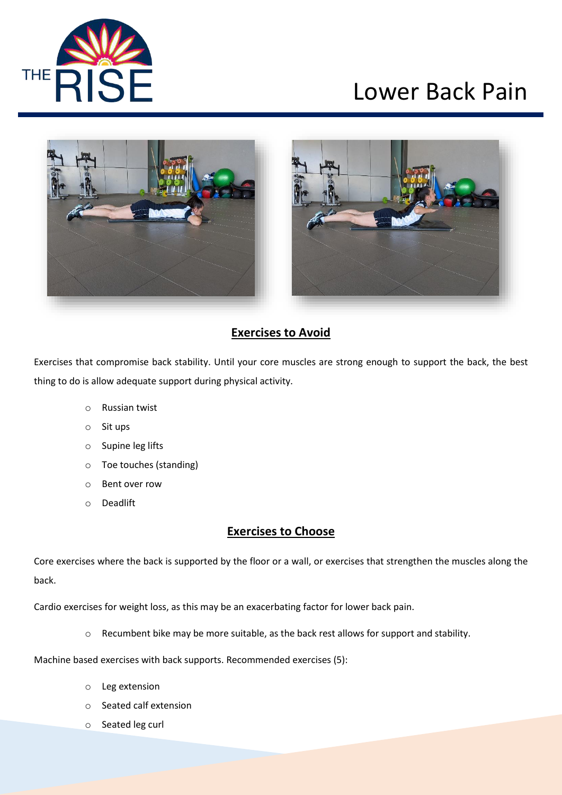



### **Exercises to Avoid**

Exercises that compromise back stability. Until your core muscles are strong enough to support the back, the best thing to do is allow adequate support during physical activity.

- o Russian twist
- o Sit ups
- o Supine leg lifts
- o Toe touches (standing)
- o Bent over row
- o Deadlift

#### **Exercises to Choose**

Core exercises where the back is supported by the floor or a wall, or exercises that strengthen the muscles along the back.

Cardio exercises for weight loss, as this may be an exacerbating factor for lower back pain.

o Recumbent bike may be more suitable, as the back rest allows for support and stability.

Machine based exercises with back supports. Recommended exercises (5):

- o Leg extension
- o Seated calf extension
- o Seated leg curl